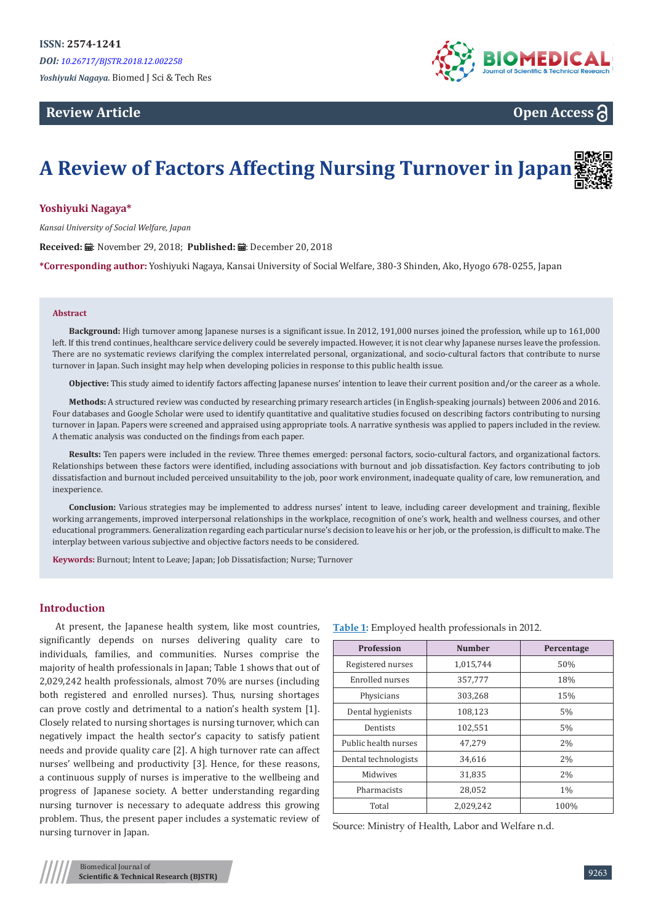# **Review Article**



**Open Access**

# **A Review of Factors Affecting Nursing Turnover in Japan**

#### **Yoshiyuki Nagaya\***

*Kansai University of Social Welfare, Japan*

Received: *:* . November 29, 2018; Published: . December 20, 2018

**\*Corresponding author:** Yoshiyuki Nagaya, Kansai University of Social Welfare, 380-3 Shinden, Ako, Hyogo 678-0255, Japan

#### **Abstract**

**Background:** High turnover among Japanese nurses is a significant issue. In 2012, 191,000 nurses joined the profession, while up to 161,000 left. If this trend continues, healthcare service delivery could be severely impacted. However, it is not clear why Japanese nurses leave the profession. There are no systematic reviews clarifying the complex interrelated personal, organizational, and socio-cultural factors that contribute to nurse turnover in Japan. Such insight may help when developing policies in response to this public health issue.

**Objective:** This study aimed to identify factors affecting Japanese nurses' intention to leave their current position and/or the career as a whole.

**Methods:** A structured review was conducted by researching primary research articles (in English-speaking journals) between 2006 and 2016. Four databases and Google Scholar were used to identify quantitative and qualitative studies focused on describing factors contributing to nursing turnover in Japan. Papers were screened and appraised using appropriate tools. A narrative synthesis was applied to papers included in the review. A thematic analysis was conducted on the findings from each paper.

**Results:** Ten papers were included in the review. Three themes emerged: personal factors, socio-cultural factors, and organizational factors. Relationships between these factors were identified, including associations with burnout and job dissatisfaction. Key factors contributing to job dissatisfaction and burnout included perceived unsuitability to the job, poor work environment, inadequate quality of care, low remuneration, and inexperience.

**Conclusion:** Various strategies may be implemented to address nurses' intent to leave, including career development and training, flexible working arrangements, improved interpersonal relationships in the workplace, recognition of one's work, health and wellness courses, and other educational programmers. Generalization regarding each particular nurse's decision to leave his or her job, or the profession, is difficult to make. The interplay between various subjective and objective factors needs to be considered.

**Keywords:** Burnout; Intent to Leave; Japan; Job Dissatisfaction; Nurse; Turnover

### **Introduction**

At present, the Japanese health system, like most countries, significantly depends on nurses delivering quality care to individuals, families, and communities. Nurses comprise the majority of health professionals in Japan; Table 1 shows that out of 2,029,242 health professionals, almost 70% are nurses (including both registered and enrolled nurses). Thus, nursing shortages can prove costly and detrimental to a nation's health system [1]. Closely related to nursing shortages is nursing turnover, which can negatively impact the health sector's capacity to satisfy patient needs and provide quality care [2]. A high turnover rate can affect nurses' wellbeing and productivity [3]. Hence, for these reasons, a continuous supply of nurses is imperative to the wellbeing and progress of Japanese society. A better understanding regarding nursing turnover is necessary to adequate address this growing problem. Thus, the present paper includes a systematic review of nursing turnover in Japan.

| <b>Profession</b>    | <b>Number</b> | Percentage |
|----------------------|---------------|------------|
| Registered nurses    | 1,015,744     | 50%        |
| Enrolled nurses      | 357,777       | 18%        |
| Physicians           | 303,268       | 15%        |
| Dental hygienists    | 108,123       | 5%         |
| Dentists             | 102,551       | 5%         |
| Public health nurses | 47,279        | 2%         |
| Dental technologists | 34,616        | 2%         |
| Midwives             | 31,835        | 2%         |
| Pharmacists          | 28,052        | $1\%$      |
| Total                | 2,029,242     | 100%       |

Source: Ministry of Health, Labor and Welfare n.d.

**Table 1:** Employed health professionals in 2012.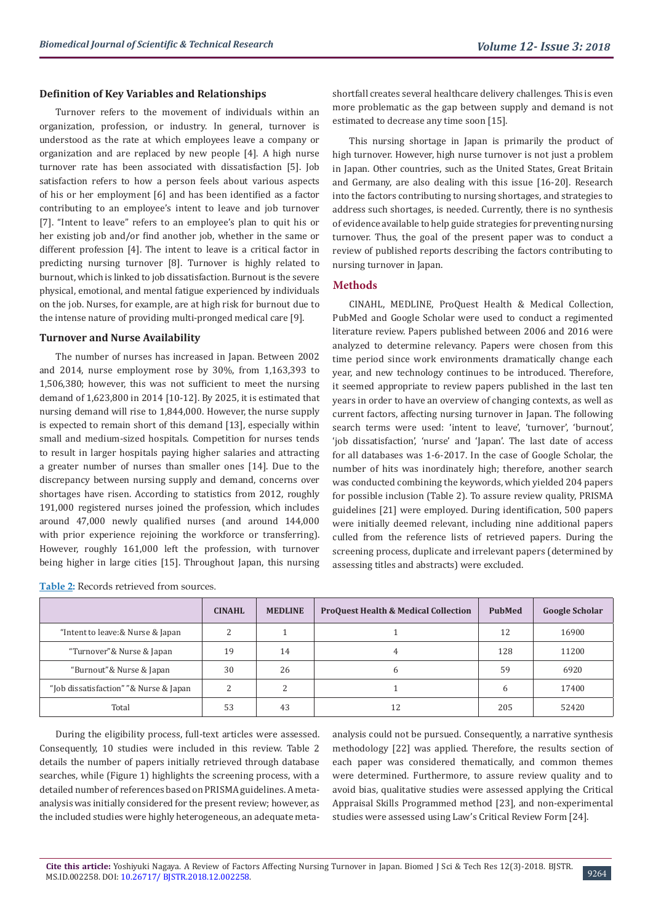#### **Definition of Key Variables and Relationships**

Turnover refers to the movement of individuals within an organization, profession, or industry. In general, turnover is understood as the rate at which employees leave a company or organization and are replaced by new people [4]. A high nurse turnover rate has been associated with dissatisfaction [5]. Job satisfaction refers to how a person feels about various aspects of his or her employment [6] and has been identified as a factor contributing to an employee's intent to leave and job turnover [7]. "Intent to leave" refers to an employee's plan to quit his or her existing job and/or find another job, whether in the same or different profession [4]. The intent to leave is a critical factor in predicting nursing turnover [8]. Turnover is highly related to burnout, which is linked to job dissatisfaction. Burnout is the severe physical, emotional, and mental fatigue experienced by individuals on the job. Nurses, for example, are at high risk for burnout due to the intense nature of providing multi-pronged medical care [9].

#### **Turnover and Nurse Availability**

**Table 2:** Records retrieved from sources.

The number of nurses has increased in Japan. Between 2002 and 2014, nurse employment rose by 30%, from 1,163,393 to 1,506,380; however, this was not sufficient to meet the nursing demand of 1,623,800 in 2014 [10-12]. By 2025, it is estimated that nursing demand will rise to 1,844,000. However, the nurse supply is expected to remain short of this demand [13], especially within small and medium-sized hospitals. Competition for nurses tends to result in larger hospitals paying higher salaries and attracting a greater number of nurses than smaller ones [14]. Due to the discrepancy between nursing supply and demand, concerns over shortages have risen. According to statistics from 2012, roughly 191,000 registered nurses joined the profession, which includes around 47,000 newly qualified nurses (and around 144,000 with prior experience rejoining the workforce or transferring). However, roughly 161,000 left the profession, with turnover being higher in large cities [15]. Throughout Japan, this nursing

shortfall creates several healthcare delivery challenges. This is even more problematic as the gap between supply and demand is not estimated to decrease any time soon [15].

This nursing shortage in Japan is primarily the product of high turnover. However, high nurse turnover is not just a problem in Japan. Other countries, such as the United States, Great Britain and Germany, are also dealing with this issue [16-20]. Research into the factors contributing to nursing shortages, and strategies to address such shortages, is needed. Currently, there is no synthesis of evidence available to help guide strategies for preventing nursing turnover. Thus, the goal of the present paper was to conduct a review of published reports describing the factors contributing to nursing turnover in Japan.

#### **Methods**

CINAHL, MEDLINE, ProQuest Health & Medical Collection, PubMed and Google Scholar were used to conduct a regimented literature review. Papers published between 2006 and 2016 were analyzed to determine relevancy. Papers were chosen from this time period since work environments dramatically change each year, and new technology continues to be introduced. Therefore, it seemed appropriate to review papers published in the last ten years in order to have an overview of changing contexts, as well as current factors, affecting nursing turnover in Japan. The following search terms were used: 'intent to leave', 'turnover', 'burnout', 'job dissatisfaction', 'nurse' and 'Japan'. The last date of access for all databases was 1-6-2017. In the case of Google Scholar, the number of hits was inordinately high; therefore, another search was conducted combining the keywords, which yielded 204 papers for possible inclusion (Table 2). To assure review quality, PRISMA guidelines [21] were employed. During identification, 500 papers were initially deemed relevant, including nine additional papers culled from the reference lists of retrieved papers. During the screening process, duplicate and irrelevant papers (determined by assessing titles and abstracts) were excluded.

|                                        | <b>CINAHL</b>  | <b>MEDLINE</b> | <b>ProQuest Health &amp; Medical Collection</b> | PubMed       | <b>Google Scholar</b> |
|----------------------------------------|----------------|----------------|-------------------------------------------------|--------------|-----------------------|
| "Intent to leave:& Nurse & Japan       | $\overline{c}$ |                |                                                 | 12           | 16900                 |
| "Turnover"& Nurse & Japan              | 19             | 14             | 4                                               | 128          | 11200                 |
| "Burnout"& Nurse & Japan               | 30             | 26             | h                                               | 59           | 6920                  |
| "Job dissatisfaction" "& Nurse & Japan | ∍              | ∍              |                                                 | <sub>b</sub> | 17400                 |
| Total                                  | 53             | 43             | 12                                              | 205          | 52420                 |

During the eligibility process, full-text articles were assessed. Consequently, 10 studies were included in this review. Table 2 details the number of papers initially retrieved through database searches, while (Figure 1) highlights the screening process, with a detailed number of references based on PRISMA guidelines. A metaanalysis was initially considered for the present review; however, as the included studies were highly heterogeneous, an adequate metaanalysis could not be pursued. Consequently, a narrative synthesis methodology [22] was applied. Therefore, the results section of each paper was considered thematically, and common themes were determined. Furthermore, to assure review quality and to avoid bias, qualitative studies were assessed applying the Critical Appraisal Skills Programmed method [23], and non-experimental studies were assessed using Law's Critical Review Form [24].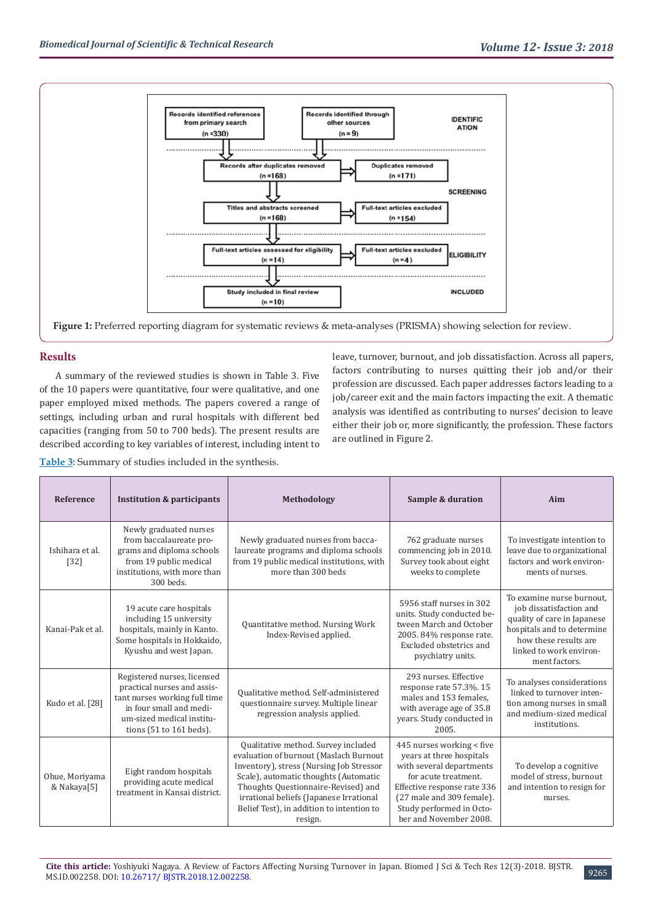



**Figure 1:** Preferred reporting diagram for systematic reviews & meta-analyses (PRISMA) showing selection for review.

# **Results**

A summary of the reviewed studies is shown in Table 3. Five of the 10 papers were quantitative, four were qualitative, and one paper employed mixed methods. The papers covered a range of settings, including urban and rural hospitals with different bed capacities (ranging from 50 to 700 beds). The present results are described according to key variables of interest, including intent to

leave, turnover, burnout, and job dissatisfaction. Across all papers, factors contributing to nurses quitting their job and/or their profession are discussed. Each paper addresses factors leading to a job/career exit and the main factors impacting the exit. A thematic analysis was identified as contributing to nurses' decision to leave either their job or, more significantly, the profession. These factors are outlined in Figure 2.

| <b>Table 3:</b> Summary of studies included in the synthesis. |  |  |  |  |
|---------------------------------------------------------------|--|--|--|--|
|                                                               |  |  |  |  |

| Reference                     | <b>Institution &amp; participants</b>                                                                                                                                              | Methodology                                                                                                                                                                                                                                                                                                  | Sample & duration                                                                                                                                                                                                           | Aim                                                                                                                                                                                    |
|-------------------------------|------------------------------------------------------------------------------------------------------------------------------------------------------------------------------------|--------------------------------------------------------------------------------------------------------------------------------------------------------------------------------------------------------------------------------------------------------------------------------------------------------------|-----------------------------------------------------------------------------------------------------------------------------------------------------------------------------------------------------------------------------|----------------------------------------------------------------------------------------------------------------------------------------------------------------------------------------|
| Ishihara et al.<br>$[32]$     | Newly graduated nurses<br>from baccalaureate pro-<br>grams and diploma schools<br>from 19 public medical<br>institutions, with more than<br>300 beds.                              | Newly graduated nurses from bacca-<br>laureate programs and diploma schools<br>from 19 public medical institutions, with<br>more than 300 beds                                                                                                                                                               | 762 graduate nurses<br>commencing job in 2010.<br>Survey took about eight<br>weeks to complete                                                                                                                              | To investigate intention to<br>leave due to organizational<br>factors and work environ-<br>ments of nurses.                                                                            |
| Kanai-Pak et al.              | 19 acute care hospitals<br>including 15 university<br>hospitals, mainly in Kanto.<br>Some hospitals in Hokkaido,<br>Kyushu and west Japan.                                         | Quantitative method. Nursing Work<br>Index-Revised applied.                                                                                                                                                                                                                                                  | 5956 staff nurses in 302<br>units. Study conducted be-<br>tween March and October<br>2005. 84% response rate.<br>Excluded obstetrics and<br>psychiatry units.                                                               | To examine nurse burnout.<br>job dissatisfaction and<br>quality of care in Japanese<br>hospitals and to determine<br>how these results are<br>linked to work environ-<br>ment factors. |
| Kudo et al. [28]              | Registered nurses, licensed<br>practical nurses and assis-<br>tant nurses working full time<br>in four small and medi-<br>um-sized medical institu-<br>tions $(51$ to $161$ beds). | Qualitative method. Self-administered<br>questionnaire survey. Multiple linear<br>regression analysis applied.                                                                                                                                                                                               | 293 nurses. Effective<br>response rate 57.3%. 15<br>males and 153 females,<br>with average age of 35.8<br>years. Study conducted in<br>2005.                                                                                | To analyses considerations<br>linked to turnover inten-<br>tion among nurses in small<br>and medium-sized medical<br>institutions.                                                     |
| Ohue, Moriyama<br>& Nakaya[5] | Eight random hospitals<br>providing acute medical<br>treatment in Kansai district.                                                                                                 | Qualitative method. Survey included<br>evaluation of burnout (Maslach Burnout<br>Inventory), stress (Nursing Job Stressor<br>Scale), automatic thoughts (Automatic<br>Thoughts Questionnaire-Revised) and<br>irrational beliefs (Japanese Irrational<br>Belief Test), in addition to intention to<br>resign. | 445 nurses working < five<br>years at three hospitals<br>with several departments<br>for acute treatment.<br>Effective response rate 336<br>(27 male and 309 female).<br>Study performed in Octo-<br>ber and November 2008. | To develop a cognitive<br>model of stress, burnout<br>and intention to resign for<br>nurses.                                                                                           |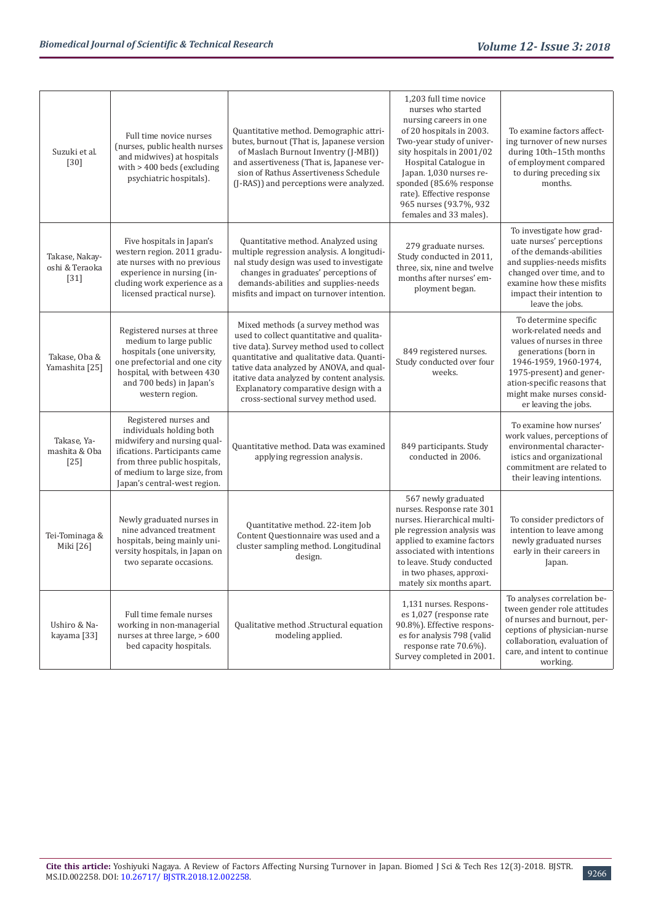| Suzuki et al.<br>$[30]$                    | Full time novice nurses<br>(nurses, public health nurses<br>and midwives) at hospitals<br>with $> 400$ beds (excluding<br>psychiatric hospitals).                                                                  | Quantitative method. Demographic attri-<br>butes, burnout (That is, Japanese version<br>of Maslach Burnout Inventry (J-MBI))<br>and assertiveness (That is, Japanese ver-<br>sion of Rathus Assertiveness Schedule<br>(J-RAS)) and perceptions were analyzed.                                                                                        | 1,203 full time novice<br>nurses who started<br>nursing careers in one<br>of 20 hospitals in 2003.<br>Two-year study of univer-<br>sity hospitals in 2001/02<br>Hospital Catalogue in<br>Japan. 1,030 nurses re-<br>sponded (85.6% response<br>rate). Effective response<br>965 nurses (93.7%, 932<br>females and 33 males). | To examine factors affect-<br>ing turnover of new nurses<br>during 10th-15th months<br>of employment compared<br>to during preceding six<br>months.                                                                                           |
|--------------------------------------------|--------------------------------------------------------------------------------------------------------------------------------------------------------------------------------------------------------------------|------------------------------------------------------------------------------------------------------------------------------------------------------------------------------------------------------------------------------------------------------------------------------------------------------------------------------------------------------|------------------------------------------------------------------------------------------------------------------------------------------------------------------------------------------------------------------------------------------------------------------------------------------------------------------------------|-----------------------------------------------------------------------------------------------------------------------------------------------------------------------------------------------------------------------------------------------|
| Takase, Nakay-<br>oshi & Teraoka<br>$[31]$ | Five hospitals in Japan's<br>western region. 2011 gradu-<br>ate nurses with no previous<br>experience in nursing (in-<br>cluding work experience as a<br>licensed practical nurse).                                | Quantitative method. Analyzed using<br>multiple regression analysis. A longitudi-<br>nal study design was used to investigate<br>changes in graduates' perceptions of<br>demands-abilities and supplies-needs<br>misfits and impact on turnover intention.                                                                                           | 279 graduate nurses.<br>Study conducted in 2011,<br>three, six, nine and twelve<br>months after nurses' em-<br>ployment began.                                                                                                                                                                                               | To investigate how grad-<br>uate nurses' perceptions<br>of the demands-abilities<br>and supplies-needs misfits<br>changed over time, and to<br>examine how these misfits<br>impact their intention to<br>leave the jobs.                      |
| Takase, Oba &<br>Yamashita [25]            | Registered nurses at three<br>medium to large public<br>hospitals (one university,<br>one prefectorial and one city<br>hospital, with between 430<br>and 700 beds) in Japan's<br>western region.                   | Mixed methods (a survey method was<br>used to collect quantitative and qualita-<br>tive data). Survey method used to collect<br>quantitative and qualitative data. Quanti-<br>tative data analyzed by ANOVA, and qual-<br>itative data analyzed by content analysis.<br>Explanatory comparative design with a<br>cross-sectional survey method used. | 849 registered nurses.<br>Study conducted over four<br>weeks.                                                                                                                                                                                                                                                                | To determine specific<br>work-related needs and<br>values of nurses in three<br>generations (born in<br>1946-1959, 1960-1974,<br>1975-present) and gener-<br>ation-specific reasons that<br>might make nurses consid-<br>er leaving the jobs. |
| Takase, Ya-<br>mashita & Oba<br>$[25]$     | Registered nurses and<br>individuals holding both<br>midwifery and nursing qual-<br>ifications. Participants came<br>from three public hospitals,<br>of medium to large size, from<br>Japan's central-west region. | Quantitative method. Data was examined<br>applying regression analysis.                                                                                                                                                                                                                                                                              | 849 participants. Study<br>conducted in 2006.                                                                                                                                                                                                                                                                                | To examine how nurses'<br>work values, perceptions of<br>environmental character-<br>istics and organizational<br>commitment are related to<br>their leaving intentions.                                                                      |
| Tei-Tominaga &<br>Miki [26]                | Newly graduated nurses in<br>nine advanced treatment<br>hospitals, being mainly uni-<br>versity hospitals, in Japan on<br>two separate occasions.                                                                  | Quantitative method. 22-item Job<br>Content Questionnaire was used and a<br>cluster sampling method. Longitudinal<br>design.                                                                                                                                                                                                                         | 567 newly graduated<br>nurses. Response rate 301<br>nurses. Hierarchical multi-<br>ple regression analysis was<br>applied to examine factors<br>associated with intentions<br>to leave. Study conducted<br>in two phases, approxi-<br>mately six months apart.                                                               | To consider predictors of<br>intention to leave among<br>newly graduated nurses<br>early in their careers in<br>Japan.                                                                                                                        |
| Ushiro & Na-<br>kayama [33]                | Full time female nurses<br>working in non-managerial<br>nurses at three large, > 600<br>bed capacity hospitals.                                                                                                    | Qualitative method .Structural equation<br>modeling applied.                                                                                                                                                                                                                                                                                         | 1,131 nurses. Respons-<br>es 1,027 (response rate<br>90.8%). Effective respons-<br>es for analysis 798 (valid<br>response rate 70.6%).<br>Survey completed in 2001.                                                                                                                                                          | To analyses correlation be-<br>tween gender role attitudes<br>of nurses and burnout, per-<br>ceptions of physician-nurse<br>collaboration, evaluation of<br>care, and intent to continue<br>working.                                          |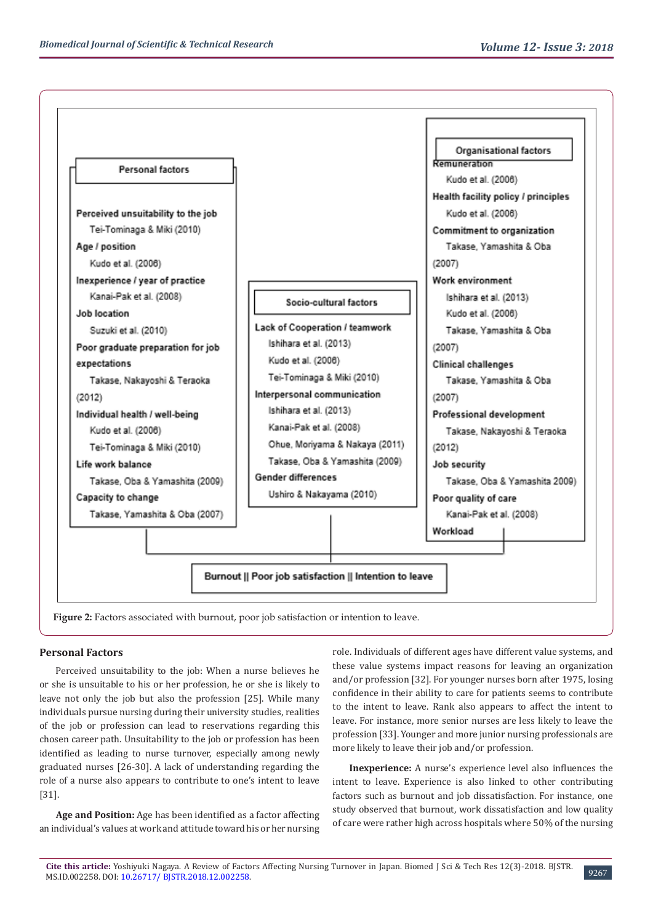

#### **Personal Factors**

Perceived unsuitability to the job: When a nurse believes he or she is unsuitable to his or her profession, he or she is likely to leave not only the job but also the profession [25]. While many individuals pursue nursing during their university studies, realities of the job or profession can lead to reservations regarding this chosen career path. Unsuitability to the job or profession has been identified as leading to nurse turnover, especially among newly graduated nurses [26-30]. A lack of understanding regarding the role of a nurse also appears to contribute to one's intent to leave [31].

**Age and Position:** Age has been identified as a factor affecting an individual's values at work and attitude toward his or her nursing role. Individuals of different ages have different value systems, and these value systems impact reasons for leaving an organization and/or profession [32]. For younger nurses born after 1975, losing confidence in their ability to care for patients seems to contribute to the intent to leave. Rank also appears to affect the intent to leave. For instance, more senior nurses are less likely to leave the profession [33]. Younger and more junior nursing professionals are more likely to leave their job and/or profession.

**Inexperience:** A nurse's experience level also influences the intent to leave. Experience is also linked to other contributing factors such as burnout and job dissatisfaction. For instance, one study observed that burnout, work dissatisfaction and low quality of care were rather high across hospitals where 50% of the nursing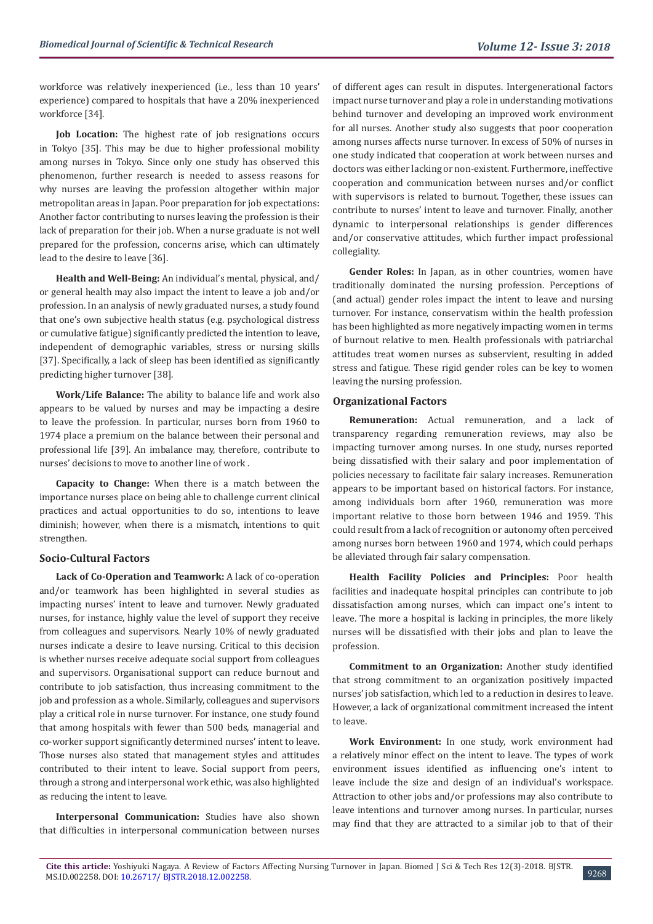workforce was relatively inexperienced (i.e., less than 10 years' experience) compared to hospitals that have a 20% inexperienced workforce [34].

**Job Location:** The highest rate of job resignations occurs in Tokyo [35]. This may be due to higher professional mobility among nurses in Tokyo. Since only one study has observed this phenomenon, further research is needed to assess reasons for why nurses are leaving the profession altogether within major metropolitan areas in Japan. Poor preparation for job expectations: Another factor contributing to nurses leaving the profession is their lack of preparation for their job. When a nurse graduate is not well prepared for the profession, concerns arise, which can ultimately lead to the desire to leave [36].

**Health and Well-Being:** An individual's mental, physical, and/ or general health may also impact the intent to leave a job and/or profession. In an analysis of newly graduated nurses, a study found that one's own subjective health status (e.g. psychological distress or cumulative fatigue) significantly predicted the intention to leave, independent of demographic variables, stress or nursing skills [37]. Specifically, a lack of sleep has been identified as significantly predicting higher turnover [38].

**Work/Life Balance:** The ability to balance life and work also appears to be valued by nurses and may be impacting a desire to leave the profession. In particular, nurses born from 1960 to 1974 place a premium on the balance between their personal and professional life [39]. An imbalance may, therefore, contribute to nurses' decisions to move to another line of work .

**Capacity to Change:** When there is a match between the importance nurses place on being able to challenge current clinical practices and actual opportunities to do so, intentions to leave diminish; however, when there is a mismatch, intentions to quit strengthen.

# **Socio-Cultural Factors**

**Lack of Co-Operation and Teamwork:** A lack of co-operation and/or teamwork has been highlighted in several studies as impacting nurses' intent to leave and turnover. Newly graduated nurses, for instance, highly value the level of support they receive from colleagues and supervisors. Nearly 10% of newly graduated nurses indicate a desire to leave nursing. Critical to this decision is whether nurses receive adequate social support from colleagues and supervisors. Organisational support can reduce burnout and contribute to job satisfaction, thus increasing commitment to the job and profession as a whole. Similarly, colleagues and supervisors play a critical role in nurse turnover. For instance, one study found that among hospitals with fewer than 500 beds, managerial and co-worker support significantly determined nurses' intent to leave. Those nurses also stated that management styles and attitudes contributed to their intent to leave. Social support from peers, through a strong and interpersonal work ethic, was also highlighted as reducing the intent to leave.

**Interpersonal Communication:** Studies have also shown that difficulties in interpersonal communication between nurses

of different ages can result in disputes. Intergenerational factors impact nurse turnover and play a role in understanding motivations behind turnover and developing an improved work environment for all nurses. Another study also suggests that poor cooperation among nurses affects nurse turnover. In excess of 50% of nurses in one study indicated that cooperation at work between nurses and doctors was either lacking or non-existent. Furthermore, ineffective cooperation and communication between nurses and/or conflict with supervisors is related to burnout. Together, these issues can contribute to nurses' intent to leave and turnover. Finally, another dynamic to interpersonal relationships is gender differences and/or conservative attitudes, which further impact professional collegiality.

**Gender Roles:** In Japan, as in other countries, women have traditionally dominated the nursing profession. Perceptions of (and actual) gender roles impact the intent to leave and nursing turnover. For instance, conservatism within the health profession has been highlighted as more negatively impacting women in terms of burnout relative to men. Health professionals with patriarchal attitudes treat women nurses as subservient, resulting in added stress and fatigue. These rigid gender roles can be key to women leaving the nursing profession.

#### **Organizational Factors**

**Remuneration:** Actual remuneration, and a lack of transparency regarding remuneration reviews, may also be impacting turnover among nurses. In one study, nurses reported being dissatisfied with their salary and poor implementation of policies necessary to facilitate fair salary increases. Remuneration appears to be important based on historical factors. For instance, among individuals born after 1960, remuneration was more important relative to those born between 1946 and 1959. This could result from a lack of recognition or autonomy often perceived among nurses born between 1960 and 1974, which could perhaps be alleviated through fair salary compensation.

**Health Facility Policies and Principles:** Poor health facilities and inadequate hospital principles can contribute to job dissatisfaction among nurses, which can impact one's intent to leave. The more a hospital is lacking in principles, the more likely nurses will be dissatisfied with their jobs and plan to leave the profession.

**Commitment to an Organization:** Another study identified that strong commitment to an organization positively impacted nurses' job satisfaction, which led to a reduction in desires to leave. However, a lack of organizational commitment increased the intent to leave.

**Work Environment:** In one study, work environment had a relatively minor effect on the intent to leave. The types of work environment issues identified as influencing one's intent to leave include the size and design of an individual's workspace. Attraction to other jobs and/or professions may also contribute to leave intentions and turnover among nurses. In particular, nurses may find that they are attracted to a similar job to that of their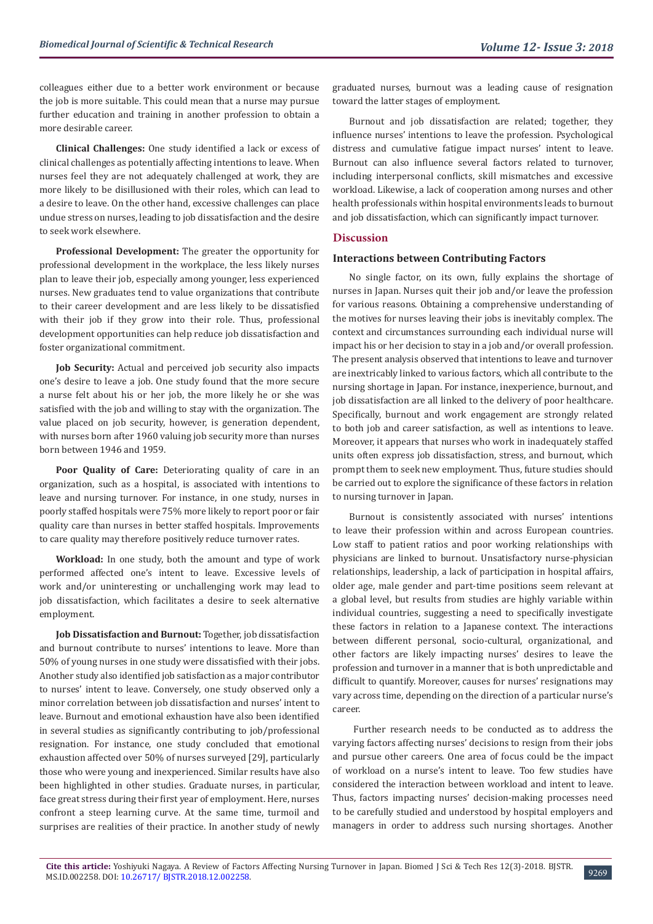colleagues either due to a better work environment or because the job is more suitable. This could mean that a nurse may pursue further education and training in another profession to obtain a more desirable career.

**Clinical Challenges:** One study identified a lack or excess of clinical challenges as potentially affecting intentions to leave. When nurses feel they are not adequately challenged at work, they are more likely to be disillusioned with their roles, which can lead to a desire to leave. On the other hand, excessive challenges can place undue stress on nurses, leading to job dissatisfaction and the desire to seek work elsewhere.

**Professional Development:** The greater the opportunity for professional development in the workplace, the less likely nurses plan to leave their job, especially among younger, less experienced nurses. New graduates tend to value organizations that contribute to their career development and are less likely to be dissatisfied with their job if they grow into their role. Thus, professional development opportunities can help reduce job dissatisfaction and foster organizational commitment.

**Job Security:** Actual and perceived job security also impacts one's desire to leave a job. One study found that the more secure a nurse felt about his or her job, the more likely he or she was satisfied with the job and willing to stay with the organization. The value placed on job security, however, is generation dependent, with nurses born after 1960 valuing job security more than nurses born between 1946 and 1959.

**Poor Quality of Care:** Deteriorating quality of care in an organization, such as a hospital, is associated with intentions to leave and nursing turnover. For instance, in one study, nurses in poorly staffed hospitals were 75% more likely to report poor or fair quality care than nurses in better staffed hospitals. Improvements to care quality may therefore positively reduce turnover rates.

**Workload:** In one study, both the amount and type of work performed affected one's intent to leave. Excessive levels of work and/or uninteresting or unchallenging work may lead to job dissatisfaction, which facilitates a desire to seek alternative employment.

**Job Dissatisfaction and Burnout:** Together, job dissatisfaction and burnout contribute to nurses' intentions to leave. More than 50% of young nurses in one study were dissatisfied with their jobs. Another study also identified job satisfaction as a major contributor to nurses' intent to leave. Conversely, one study observed only a minor correlation between job dissatisfaction and nurses' intent to leave. Burnout and emotional exhaustion have also been identified in several studies as significantly contributing to job/professional resignation. For instance, one study concluded that emotional exhaustion affected over 50% of nurses surveyed [29], particularly those who were young and inexperienced. Similar results have also been highlighted in other studies. Graduate nurses, in particular, face great stress during their first year of employment. Here, nurses confront a steep learning curve. At the same time, turmoil and surprises are realities of their practice. In another study of newly

graduated nurses, burnout was a leading cause of resignation toward the latter stages of employment.

Burnout and job dissatisfaction are related; together, they influence nurses' intentions to leave the profession. Psychological distress and cumulative fatigue impact nurses' intent to leave. Burnout can also influence several factors related to turnover, including interpersonal conflicts, skill mismatches and excessive workload. Likewise, a lack of cooperation among nurses and other health professionals within hospital environments leads to burnout and job dissatisfaction, which can significantly impact turnover.

#### **Discussion**

#### **Interactions between Contributing Factors**

No single factor, on its own, fully explains the shortage of nurses in Japan. Nurses quit their job and/or leave the profession for various reasons. Obtaining a comprehensive understanding of the motives for nurses leaving their jobs is inevitably complex. The context and circumstances surrounding each individual nurse will impact his or her decision to stay in a job and/or overall profession. The present analysis observed that intentions to leave and turnover are inextricably linked to various factors, which all contribute to the nursing shortage in Japan. For instance, inexperience, burnout, and job dissatisfaction are all linked to the delivery of poor healthcare. Specifically, burnout and work engagement are strongly related to both job and career satisfaction, as well as intentions to leave. Moreover, it appears that nurses who work in inadequately staffed units often express job dissatisfaction, stress, and burnout, which prompt them to seek new employment. Thus, future studies should be carried out to explore the significance of these factors in relation to nursing turnover in Japan.

Burnout is consistently associated with nurses' intentions to leave their profession within and across European countries. Low staff to patient ratios and poor working relationships with physicians are linked to burnout. Unsatisfactory nurse-physician relationships, leadership, a lack of participation in hospital affairs, older age, male gender and part-time positions seem relevant at a global level, but results from studies are highly variable within individual countries, suggesting a need to specifically investigate these factors in relation to a Japanese context. The interactions between different personal, socio-cultural, organizational, and other factors are likely impacting nurses' desires to leave the profession and turnover in a manner that is both unpredictable and difficult to quantify. Moreover, causes for nurses' resignations may vary across time, depending on the direction of a particular nurse's career.

 Further research needs to be conducted as to address the varying factors affecting nurses' decisions to resign from their jobs and pursue other careers. One area of focus could be the impact of workload on a nurse's intent to leave. Too few studies have considered the interaction between workload and intent to leave. Thus, factors impacting nurses' decision-making processes need to be carefully studied and understood by hospital employers and managers in order to address such nursing shortages. Another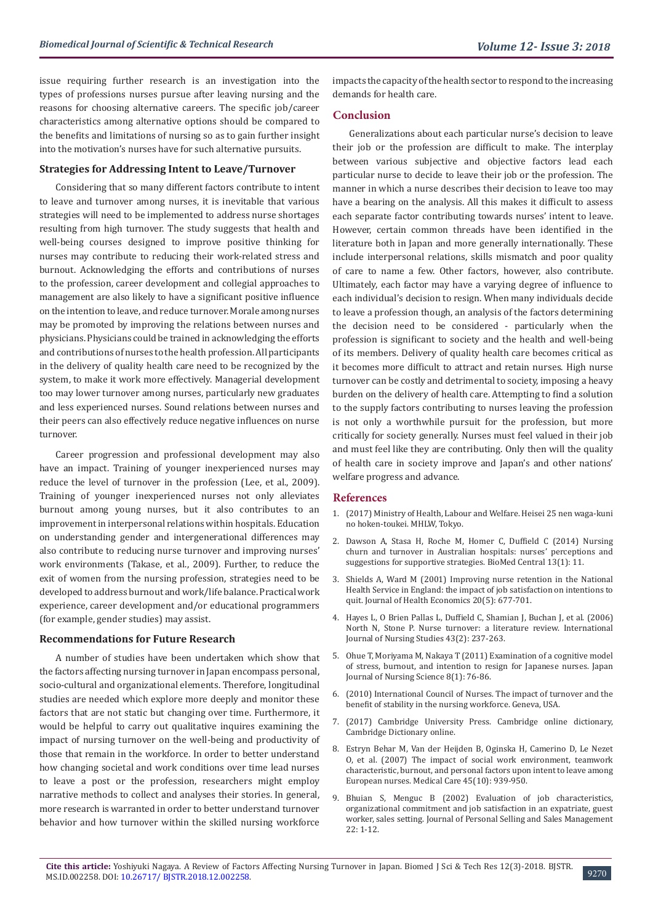issue requiring further research is an investigation into the types of professions nurses pursue after leaving nursing and the reasons for choosing alternative careers. The specific job/career characteristics among alternative options should be compared to the benefits and limitations of nursing so as to gain further insight into the motivation's nurses have for such alternative pursuits.

#### **Strategies for Addressing Intent to Leave/Turnover**

Considering that so many different factors contribute to intent to leave and turnover among nurses, it is inevitable that various strategies will need to be implemented to address nurse shortages resulting from high turnover. The study suggests that health and well-being courses designed to improve positive thinking for nurses may contribute to reducing their work-related stress and burnout. Acknowledging the efforts and contributions of nurses to the profession, career development and collegial approaches to management are also likely to have a significant positive influence on the intention to leave, and reduce turnover. Morale among nurses may be promoted by improving the relations between nurses and physicians. Physicians could be trained in acknowledging the efforts and contributions of nurses to the health profession. All participants in the delivery of quality health care need to be recognized by the system, to make it work more effectively. Managerial development too may lower turnover among nurses, particularly new graduates and less experienced nurses. Sound relations between nurses and their peers can also effectively reduce negative influences on nurse turnover.

Career progression and professional development may also have an impact. Training of younger inexperienced nurses may reduce the level of turnover in the profession (Lee, et al., 2009). Training of younger inexperienced nurses not only alleviates burnout among young nurses, but it also contributes to an improvement in interpersonal relations within hospitals. Education on understanding gender and intergenerational differences may also contribute to reducing nurse turnover and improving nurses' work environments (Takase, et al., 2009). Further, to reduce the exit of women from the nursing profession, strategies need to be developed to address burnout and work/life balance. Practical work experience, career development and/or educational programmers (for example, gender studies) may assist.

#### **Recommendations for Future Research**

A number of studies have been undertaken which show that the factors affecting nursing turnover in Japan encompass personal, socio-cultural and organizational elements. Therefore, longitudinal studies are needed which explore more deeply and monitor these factors that are not static but changing over time. Furthermore, it would be helpful to carry out qualitative inquires examining the impact of nursing turnover on the well-being and productivity of those that remain in the workforce. In order to better understand how changing societal and work conditions over time lead nurses to leave a post or the profession, researchers might employ narrative methods to collect and analyses their stories. In general, more research is warranted in order to better understand turnover behavior and how turnover within the skilled nursing workforce

impacts the capacity of the health sector to respond to the increasing demands for health care.

#### **Conclusion**

Generalizations about each particular nurse's decision to leave their job or the profession are difficult to make. The interplay between various subjective and objective factors lead each particular nurse to decide to leave their job or the profession. The manner in which a nurse describes their decision to leave too may have a bearing on the analysis. All this makes it difficult to assess each separate factor contributing towards nurses' intent to leave. However, certain common threads have been identified in the literature both in Japan and more generally internationally. These include interpersonal relations, skills mismatch and poor quality of care to name a few. Other factors, however, also contribute. Ultimately, each factor may have a varying degree of influence to each individual's decision to resign. When many individuals decide to leave a profession though, an analysis of the factors determining the decision need to be considered - particularly when the profession is significant to society and the health and well-being of its members. Delivery of quality health care becomes critical as it becomes more difficult to attract and retain nurses. High nurse turnover can be costly and detrimental to society, imposing a heavy burden on the delivery of health care. Attempting to find a solution to the supply factors contributing to nurses leaving the profession is not only a worthwhile pursuit for the profession, but more critically for society generally. Nurses must feel valued in their job and must feel like they are contributing. Only then will the quality of health care in society improve and Japan's and other nations' welfare progress and advance.

#### **References**

- 1. [\(2017\) Ministry of Health, Labour and Welfare. Heisei 25 nen waga-kuni](https://www.mhlw.go.jp/toukei/list/130-25.html) [no hoken-toukei. MHLW, Tokyo.](https://www.mhlw.go.jp/toukei/list/130-25.html)
- 2. [Dawson A, Stasa H, Roche M, Homer C, Duffield C \(2014\) Nursing](https://www.ncbi.nlm.nih.gov/pubmed/24708565) [churn and turnover in Australian hospitals: nurses' perceptions and](https://www.ncbi.nlm.nih.gov/pubmed/24708565) [suggestions for supportive strategies. BioMed Central 13\(1\): 11.](https://www.ncbi.nlm.nih.gov/pubmed/24708565)
- 3. [Shields A, Ward M \(2001\) Improving nurse retention in the National](https://www.sciencedirect.com/science/article/abs/pii/S0167629601000923) [Health Service in England: the impact of job satisfaction on intentions to](https://www.sciencedirect.com/science/article/abs/pii/S0167629601000923) [quit. Journal of Health Economics 20\(5\): 677-701.](https://www.sciencedirect.com/science/article/abs/pii/S0167629601000923)
- 4. [Hayes L, O Brien Pallas L, Duffield C, Shamian J, Buchan J, et al. \(2006\)](https://www.ncbi.nlm.nih.gov/pubmed/15878771) [North N, Stone P. Nurse turnover: a literature review. International](https://www.ncbi.nlm.nih.gov/pubmed/15878771) [Journal of Nursing Studies 43\(2\): 237-263.](https://www.ncbi.nlm.nih.gov/pubmed/15878771)
- 5. [Ohue T, Moriyama M, Nakaya T \(2011\) Examination of a cognitive model](https://www.ncbi.nlm.nih.gov/pubmed/21615700) [of stress, burnout, and intention to resign for Japanese nurses. Japan](https://www.ncbi.nlm.nih.gov/pubmed/21615700) [Journal of Nursing Science 8\(1\): 76-86.](https://www.ncbi.nlm.nih.gov/pubmed/21615700)
- 6. (2010) [International Council of Nurses. The impact of turnover and the](https://www.hrhresourcecenter.org/node/3523.html) [benefit of stability in the nursing workforce. Geneva, USA.](https://www.hrhresourcecenter.org/node/3523.html)
- 7. (2017) [Cambridge University Press. Cambridge online dictionary,](https://dictionary.cambridge.org/dictionary/english/) [Cambridge Dictionary online.](https://dictionary.cambridge.org/dictionary/english/)
- 8. [Estryn Behar M, Van der Heijden B, Oginska H, Camerino D, Le Nezet](https://www.ncbi.nlm.nih.gov/pubmed/17890991) [O, et al. \(2007\) The impact of social work environment, teamwork](https://www.ncbi.nlm.nih.gov/pubmed/17890991) [characteristic, burnout, and personal factors upon intent to leave among](https://www.ncbi.nlm.nih.gov/pubmed/17890991) [European nurses. Medical Care 45\(10\): 939-950.](https://www.ncbi.nlm.nih.gov/pubmed/17890991)
- 9. [Bhuian S, Menguc B \(2002\) Evaluation of job characteristics,](https://squ.pure.elsevier.com/en/publications/an-extension-and-evaluation-of-job-characteristics-organizational) [organizational commitment and job satisfaction in an expatriate, guest](https://squ.pure.elsevier.com/en/publications/an-extension-and-evaluation-of-job-characteristics-organizational) [worker, sales setting. Journal of Personal Selling and Sales Management](https://squ.pure.elsevier.com/en/publications/an-extension-and-evaluation-of-job-characteristics-organizational) [22: 1-12.](https://squ.pure.elsevier.com/en/publications/an-extension-and-evaluation-of-job-characteristics-organizational)